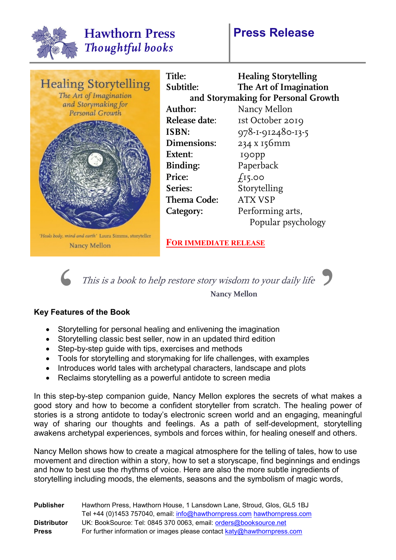

## **Press Release**





This is a book to help restore story wisdom to your daily life<br>Nancy Mellon<br>eatures of the Book<br>Standalling for personal booling and onlivening the imagination This is a book to help restore story wisdom to your daily life **Nancy Mellon**

## **Key Features of the Book**

- Storytelling for personal healing and enlivening the imagination
- Storytelling classic best seller, now in an updated third edition
- Step-by-step guide with tips, exercises and methods
- Tools for storytelling and storymaking for life challenges, with examples
- Introduces world tales with archetypal characters, landscape and plots
- Reclaims storytelling as a powerful antidote to screen media

In this step-by-step companion guide, Nancy Mellon explores the secrets of what makes a good story and how to become a confident storyteller from scratch. The healing power of stories is a strong antidote to today's electronic screen world and an engaging, meaningful way of sharing our thoughts and feelings. As a path of self-development, storytelling awakens archetypal experiences, symbols and forces within, for healing oneself and others.

Nancy Mellon shows how to create a magical atmosphere for the telling of tales, how to use movement and direction within a story, how to set a storyscape, find beginnings and endings and how to best use the rhythms of voice. Here are also the more subtle ingredients of storytelling including moods, the elements, seasons and the symbolism of magic words,

| <b>Publisher</b>   | Hawthorn Press, Hawthorn House, 1 Lansdown Lane, Stroud, Glos, GL5 1BJ  |
|--------------------|-------------------------------------------------------------------------|
|                    | Tel +44 (0)1453 757040, email: info@hawthornpress.com hawthornpress.com |
| <b>Distributor</b> | UK: BookSource: Tel: 0845 370 0063, email: orders@booksource.net        |
| <b>Press</b>       | For further information or images please contact katy@hawthornpress.com |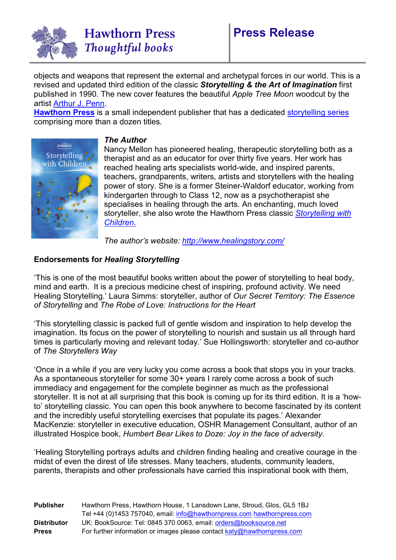

objects and weapons that represent the external and archetypal forces in our world. This is a revised and updated third edition of the classic *Storytelling & the Art of Imagination* first published in 1990. The new cover features the beautiful *Apple Tree Moon* woodcut by the artist [Arthur J. Penn.](http://www.arthurjpenn.com/)

**[Hawthorn Press](https://www.hawthornpress.com/about-hawthorn/)** is a small independent publisher that has a dedicated [storytelling series](https://www.hawthornpress.com/series/storytelling/)  comprising more than a dozen titles.



## *The Author*

Nancy Mellon has pioneered healing, therapeutic storytelling both as a therapist and as an educator for over thirty five years. Her work has reached healing arts specialists world-wide, and inspired parents, teachers, grandparents, writers, artists and storytellers with the healing power of story. She is a former Steiner-Waldorf educator, working from kindergarten through to Class 12, now as a psychotherapist she specialises in healing through the arts. An enchanting, much loved storyteller, she also wrote the Hawthorn Press classic *[Storytelling with](https://www.hawthornpress.com/books/storytelling/storytelling-with-children/)  [Children.](https://www.hawthornpress.com/books/storytelling/storytelling-with-children/)*

*The author's website:<http://www.healingstory.com/>*

## **Endorsements for** *Healing Storytelling*

'This is one of the most beautiful books written about the power of storytelling to heal body, mind and earth. It is a precious medicine chest of inspiring, profound activity. We need Healing Storytelling.' Laura Simms: storyteller, author of *Our Secret Territory: The Essence of Storytelling* and *The Robe of Love: Instructions for the Heart*

'This storytelling classic is packed full of gentle wisdom and inspiration to help develop the imagination. Its focus on the power of storytelling to nourish and sustain us all through hard times is particularly moving and relevant today.' Sue Hollingsworth: storyteller and co-author of *The Storytellers Way*

'Once in a while if you are very lucky you come across a book that stops you in your tracks. As a spontaneous storyteller for some 30+ years I rarely come across a book of such immediacy and engagement for the complete beginner as much as the professional storyteller. It is not at all surprising that this book is coming up for its third edition. It is a 'howto' storytelling classic. You can open this book anywhere to become fascinated by its content and the incredibly useful storytelling exercises that populate its pages.' Alexander MacKenzie: storyteller in executive education, OSHR Management Consultant, author of an illustrated Hospice book, *Humbert Bear Likes to Doze: Joy in the face of adversity.* 

'Healing Storytelling portrays adults and children finding healing and creative courage in the midst of even the direst of life stresses. Many teachers, students, community leaders, parents, therapists and other professionals have carried this inspirational book with them,

| <b>Publisher</b>   | Hawthorn Press, Hawthorn House, 1 Lansdown Lane, Stroud, Glos, GL5 1BJ  |
|--------------------|-------------------------------------------------------------------------|
|                    | Tel +44 (0)1453 757040, email: info@hawthornpress.com hawthornpress.com |
| <b>Distributor</b> | UK: BookSource: Tel: 0845 370 0063, email: orders@booksource.net        |
| <b>Press</b>       | For further information or images please contact katy@hawthornpress.com |